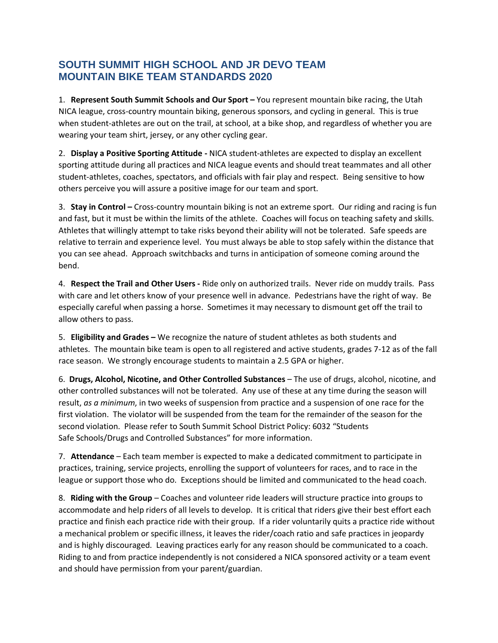## **SOUTH SUMMIT HIGH SCHOOL AND JR DEVO TEAM MOUNTAIN BIKE TEAM STANDARDS 2020**

1. **Represent South Summit Schools and Our Sport –** You represent mountain bike racing, the Utah NICA league, cross-country mountain biking, generous sponsors, and cycling in general. This is true when student-athletes are out on the trail, at school, at a bike shop, and regardless of whether you are wearing your team shirt, jersey, or any other cycling gear.

2. **Display a Positive Sporting Attitude -** NICA student-athletes are expected to display an excellent sporting attitude during all practices and NICA league events and should treat teammates and all other student-athletes, coaches, spectators, and officials with fair play and respect. Being sensitive to how others perceive you will assure a positive image for our team and sport.

3. **Stay in Control –** Cross-country mountain biking is not an extreme sport. Our riding and racing is fun and fast, but it must be within the limits of the athlete. Coaches will focus on teaching safety and skills. Athletes that willingly attempt to take risks beyond their ability will not be tolerated. Safe speeds are relative to terrain and experience level. You must always be able to stop safely within the distance that you can see ahead. Approach switchbacks and turns in anticipation of someone coming around the bend.

4. **Respect the Trail and Other Users -** Ride only on authorized trails. Never ride on muddy trails. Pass with care and let others know of your presence well in advance. Pedestrians have the right of way. Be especially careful when passing a horse. Sometimes it may necessary to dismount get off the trail to allow others to pass.

5. **Eligibility and Grades –** We recognize the nature of student athletes as both students and athletes. The mountain bike team is open to all registered and active students, grades 7-12 as of the fall race season. We strongly encourage students to maintain a 2.5 GPA or higher.

6. **Drugs, Alcohol, Nicotine, and Other Controlled Substances** – The use of drugs, alcohol, nicotine, and other controlled substances will not be tolerated. Any use of these at any time during the season will result, *as a minimum*, in two weeks of suspension from practice and a suspension of one race for the first violation. The violator will be suspended from the team for the remainder of the season for the second violation. Please refer to South Summit School District Policy: 6032 "Students Safe Schools/Drugs and Controlled Substances" for more information.

7. **Attendance** – Each team member is expected to make a dedicated commitment to participate in practices, training, service projects, enrolling the support of volunteers for races, and to race in the league or support those who do. Exceptions should be limited and communicated to the head coach.

8. **Riding with the Group** – Coaches and volunteer ride leaders will structure practice into groups to accommodate and help riders of all levels to develop. It is critical that riders give their best effort each practice and finish each practice ride with their group. If a rider voluntarily quits a practice ride without a mechanical problem or specific illness, it leaves the rider/coach ratio and safe practices in jeopardy and is highly discouraged. Leaving practices early for any reason should be communicated to a coach. Riding to and from practice independently is not considered a NICA sponsored activity or a team event and should have permission from your parent/guardian.